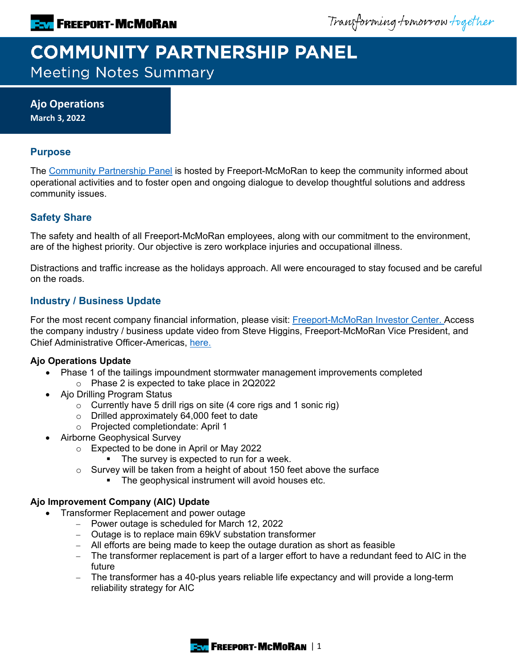Transforming tomorrow together

# **COMMUNITY PARTNERSHIP PANEL Meeting Notes Summary**

**Ajo Operations March 3, 2022**

### **Purpose**

The [Community Partnership Panel](https://www.freeportinmycommunity.com/stakeholders/stakeholder-engagement-) is hosted by Freeport-McMoRan to keep the community informed about operational activities and to foster open and ongoing dialogue to develop thoughtful solutions and address community issues.

# **Safety Share**

The safety and health of all Freeport-McMoRan employees, along with our commitment to the environment, are of the highest priority. Our objective is zero workplace injuries and occupational illness.

Distractions and traffic increase as the holidays approach. All were encouraged to stay focused and be careful on the roads.

# **Industry / Business Update**

For the most recent company financial information, please visit: **Freeport-McMoRan Investor Center.** Access the company industry / business update video from Steve Higgins, Freeport-McMoRan Vice President, and Chief Administrative Officer-Americas, [here.](https://fmi.hosted.panopto.com/Panopto/Pages/Viewer.aspx?id=ddb8f262-b718-47d5-861b-ae2b015a79a0)

#### **Ajo Operations Update**

- Phase 1 of the tailings impoundment stormwater management improvements completed
	- o Phase 2 is expected to take place in 2Q2022
- Ajo Drilling Program Status
	- $\circ$  Currently have 5 drill rigs on site (4 core rigs and 1 sonic rig)
	- o Drilled approximately 64,000 feet to date
	- o Projected completiondate: April 1
- Airborne Geophysical Survey
	- o Expected to be done in April or May 2022
		- **The survey is expected to run for a week.**
	- o Survey will be taken from a height of about 150 feet above the surface
		- **The geophysical instrument will avoid houses etc.**

#### **Ajo Improvement Company (AIC) Update**

- Transformer Replacement and power outage
	- − Power outage is scheduled for March 12, 2022
	- − Outage is to replace main 69kV substation transformer
	- − All efforts are being made to keep the outage duration as short as feasible
	- − The transformer replacement is part of a larger effort to have a redundant feed to AIC in the future
	- − The transformer has a 40-plus years reliable life expectancy and will provide a long-term reliability strategy for AIC